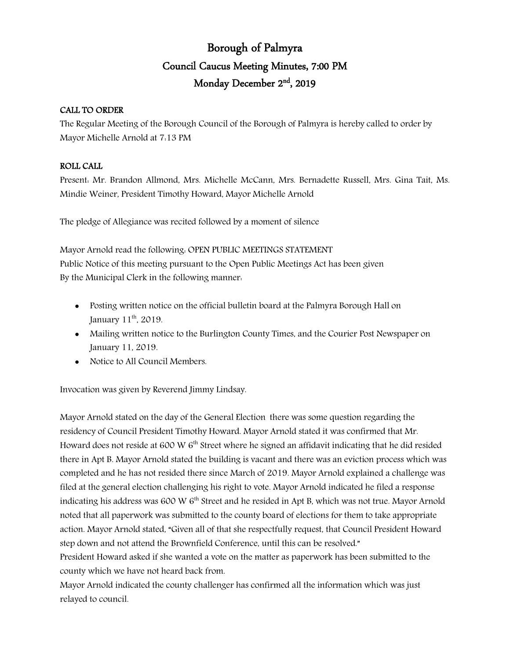# Borough of Palmyra Council Caucus Meeting Minutes, 7:00 PM Monday December 2nd, 2019

## CALL TO ORDER

The Regular Meeting of the Borough Council of the Borough of Palmyra is hereby called to order by Mayor Michelle Arnold at 7:13 PM

## ROLL CALL

Present: Mr. Brandon Allmond, Mrs. Michelle McCann, Mrs. Bernadette Russell, Mrs. Gina Tait, Ms. Mindie Weiner, President Timothy Howard, Mayor Michelle Arnold

The pledge of Allegiance was recited followed by a moment of silence

Mayor Arnold read the following: OPEN PUBLIC MEETINGS STATEMENT Public Notice of this meeting pursuant to the Open Public Meetings Act has been given By the Municipal Clerk in the following manner:

- Posting written notice on the official bulletin board at the Palmyra Borough Hall on January  $11<sup>th</sup>$ , 2019.
- Mailing written notice to the Burlington County Times, and the Courier Post Newspaper on January 11, 2019.
- Notice to All Council Members.

Invocation was given by Reverend Jimmy Lindsay.

Mayor Arnold stated on the day of the General Election there was some question regarding the residency of Council President Timothy Howard. Mayor Arnold stated it was confirmed that Mr. Howard does not reside at 600 W  $6<sup>th</sup>$  Street where he signed an affidavit indicating that he did resided there in Apt B. Mayor Arnold stated the building is vacant and there was an eviction process which was completed and he has not resided there since March of 2019. Mayor Arnold explained a challenge was filed at the general election challenging his right to vote. Mayor Arnold indicated he filed a response indicating his address was 600 W  $6<sup>th</sup>$  Street and he resided in Apt B, which was not true. Mayor Arnold noted that all paperwork was submitted to the county board of elections for them to take appropriate action. Mayor Arnold stated, "Given all of that she respectfully request, that Council President Howard step down and not attend the Brownfield Conference, until this can be resolved."

President Howard asked if she wanted a vote on the matter as paperwork has been submitted to the county which we have not heard back from.

Mayor Arnold indicated the county challenger has confirmed all the information which was just relayed to council.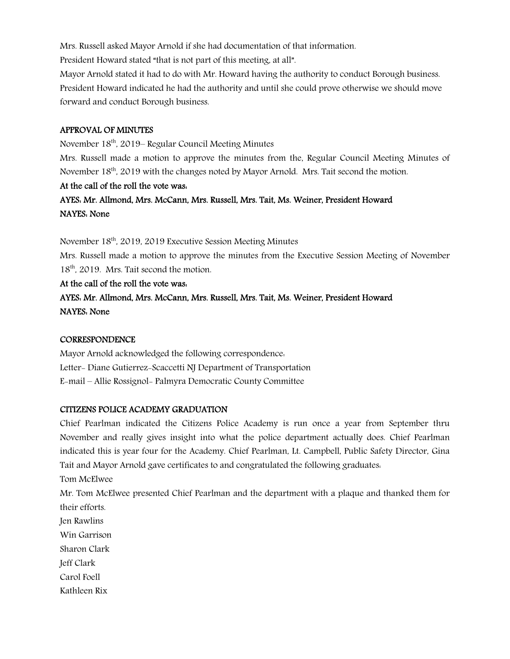Mrs. Russell asked Mayor Arnold if she had documentation of that information.

President Howard stated "that is not part of this meeting, at all".

Mayor Arnold stated it had to do with Mr. Howard having the authority to conduct Borough business. President Howard indicated he had the authority and until she could prove otherwise we should move forward and conduct Borough business.

## APPROVAL OF MINUTES

November 18th, 2019– Regular Council Meeting Minutes

Mrs. Russell made a motion to approve the minutes from the, Regular Council Meeting Minutes of November 18<sup>th</sup>, 2019 with the changes noted by Mayor Arnold. Mrs. Tait second the motion.

## At the call of the roll the vote was:

## AYES: Mr. Allmond, Mrs. McCann, Mrs. Russell, Mrs. Tait, Ms. Weiner, President Howard NAYES: None

November 18<sup>th</sup>, 2019, 2019 Executive Session Meeting Minutes

Mrs. Russell made a motion to approve the minutes from the Executive Session Meeting of November 18<sup>th</sup>, 2019. Mrs. Tait second the motion.

## At the call of the roll the vote was:

AYES: Mr. Allmond, Mrs. McCann, Mrs. Russell, Mrs. Tait, Ms. Weiner, President Howard NAYES: None

#### **CORRESPONDENCE**

Mayor Arnold acknowledged the following correspondence: Letter- Diane Gutierrez-Scaccetti NJ Department of Transportation E-mail – Allie Rossignol- Palmyra Democratic County Committee

## CITIZENS POLICE ACADEMY GRADUATION

Chief Pearlman indicated the Citizens Police Academy is run once a year from September thru November and really gives insight into what the police department actually does. Chief Pearlman indicated this is year four for the Academy. Chief Pearlman, Lt. Campbell, Public Safety Director, Gina Tait and Mayor Arnold gave certificates to and congratulated the following graduates:

Tom McElwee

Mr. Tom McElwee presented Chief Pearlman and the department with a plaque and thanked them for their efforts.

Jen Rawlins

Win Garrison

Sharon Clark

Jeff Clark

Carol Foell

Kathleen Rix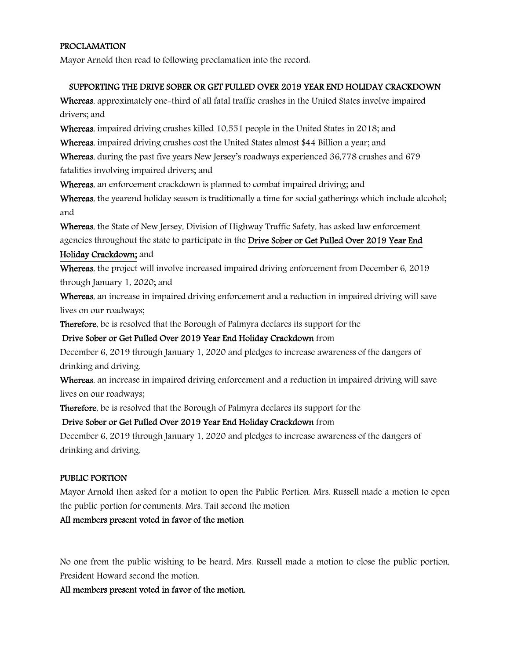## PROCLAMATION

Mayor Arnold then read to following proclamation into the record:

## SUPPORTING THE DRIVE SOBER OR GET PULLED OVER 2019 YEAR END HOLIDAY CRACKDOWN

Whereas, approximately one-third of all fatal traffic crashes in the United States involve impaired drivers; and

Whereas, impaired driving crashes killed 10,551 people in the United States in 2018; and

Whereas, impaired driving crashes cost the United States almost \$44 Billion a year; and

Whereas, during the past five years New Jersey's roadways experienced 36,778 crashes and 679 fatalities involving impaired drivers; and

Whereas, an enforcement crackdown is planned to combat impaired driving; and

Whereas, the yearend holiday season is traditionally a time for social gatherings which include alcohol; and

Whereas, the State of New Jersey, Division of Highway Traffic Safety, has asked law enforcement agencies throughout the state to participate in the Drive Sober or Get Pulled Over 2019 Year End

## Holiday Crackdown; and

Whereas, the project will involve increased impaired driving enforcement from December 6, 2019 through January 1, 2020; and

Whereas, an increase in impaired driving enforcement and a reduction in impaired driving will save lives on our roadways;

Therefore, be is resolved that the Borough of Palmyra declares its support for the

## Drive Sober or Get Pulled Over 2019 Year End Holiday Crackdown from

December 6, 2019 through January 1, 2020 and pledges to increase awareness of the dangers of drinking and driving.

Whereas, an increase in impaired driving enforcement and a reduction in impaired driving will save lives on our roadways;

Therefore, be is resolved that the Borough of Palmyra declares its support for the

## Drive Sober or Get Pulled Over 2019 Year End Holiday Crackdown from

December 6, 2019 through January 1, 2020 and pledges to increase awareness of the dangers of drinking and driving.

## PUBLIC PORTION

Mayor Arnold then asked for a motion to open the Public Portion. Mrs. Russell made a motion to open the public portion for comments. Mrs. Tait second the motion

## All members present voted in favor of the motion

No one from the public wishing to be heard, Mrs. Russell made a motion to close the public portion, President Howard second the motion.

All members present voted in favor of the motion.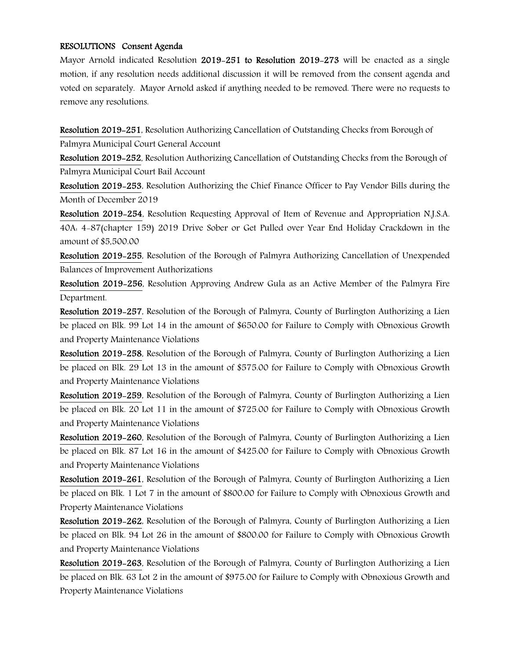#### RESOLUTIONS Consent Agenda

Mayor Arnold indicated Resolution 2019–251 to Resolution 2019–273 will be enacted as a single motion, if any resolution needs additional discussion it will be removed from the consent agenda and voted on separately. Mayor Arnold asked if anything needed to be removed. There were no requests to remove any resolutions.

Resolution 2019-251, Resolution Authorizing Cancellation of Outstanding Checks from Borough of Palmyra Municipal Court General Account

Resolution 2019-252, Resolution Authorizing Cancellation of Outstanding Checks from the Borough of Palmyra Municipal Court Bail Account

Resolution 2019-253, Resolution Authorizing the Chief Finance Officer to Pay Vendor Bills during the Month of December 2019

Resolution 2019-254, Resolution Requesting Approval of Item of Revenue and Appropriation N.J.S.A. 40A: 4-87(chapter 159) 2019 Drive Sober or Get Pulled over Year End Holiday Crackdown in the amount of \$5,500.00

Resolution 2019-255, Resolution of the Borough of Palmyra Authorizing Cancellation of Unexpended Balances of Improvement Authorizations

Resolution 2019-256, Resolution Approving Andrew Gula as an Active Member of the Palmyra Fire Department.

Resolution 2019-257, Resolution of the Borough of Palmyra, County of Burlington Authorizing a Lien be placed on Blk. 99 Lot 14 in the amount of \$650.00 for Failure to Comply with Obnoxious Growth and Property Maintenance Violations

Resolution 2019-258, Resolution of the Borough of Palmyra, County of Burlington Authorizing a Lien be placed on Blk. 29 Lot 13 in the amount of \$575.00 for Failure to Comply with Obnoxious Growth and Property Maintenance Violations

Resolution 2019-259, Resolution of the Borough of Palmyra, County of Burlington Authorizing a Lien be placed on Blk. 20 Lot 11 in the amount of \$725.00 for Failure to Comply with Obnoxious Growth and Property Maintenance Violations

Resolution 2019-260, Resolution of the Borough of Palmyra, County of Burlington Authorizing a Lien be placed on Blk. 87 Lot 16 in the amount of \$425.00 for Failure to Comply with Obnoxious Growth and Property Maintenance Violations

Resolution 2019-261, Resolution of the Borough of Palmyra, County of Burlington Authorizing a Lien be placed on Blk. 1 Lot 7 in the amount of \$800.00 for Failure to Comply with Obnoxious Growth and Property Maintenance Violations

Resolution 2019-262, Resolution of the Borough of Palmyra, County of Burlington Authorizing a Lien be placed on Blk. 94 Lot 26 in the amount of \$800.00 for Failure to Comply with Obnoxious Growth and Property Maintenance Violations

Resolution 2019-263, Resolution of the Borough of Palmyra, County of Burlington Authorizing a Lien be placed on Blk. 63 Lot 2 in the amount of \$975.00 for Failure to Comply with Obnoxious Growth and Property Maintenance Violations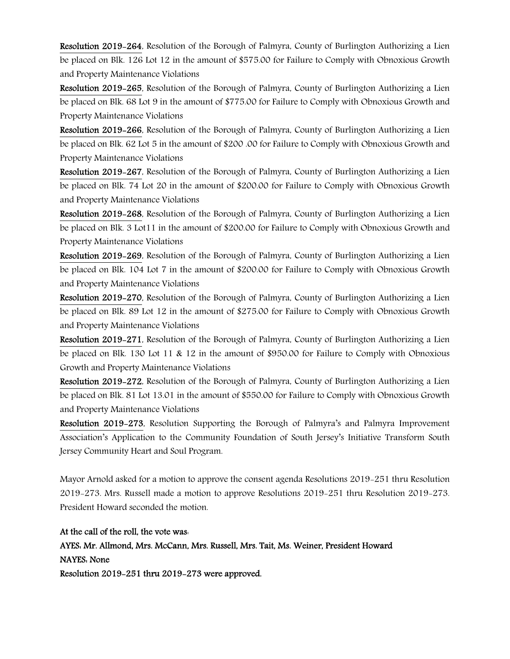Resolution 2019-264, Resolution of the Borough of Palmyra, County of Burlington Authorizing a Lien be placed on Blk. 126 Lot 12 in the amount of \$575.00 for Failure to Comply with Obnoxious Growth and Property Maintenance Violations

Resolution 2019-265, Resolution of the Borough of Palmyra, County of Burlington Authorizing a Lien be placed on Blk. 68 Lot 9 in the amount of \$775.00 for Failure to Comply with Obnoxious Growth and Property Maintenance Violations

Resolution 2019-266, Resolution of the Borough of Palmyra, County of Burlington Authorizing a Lien be placed on Blk. 62 Lot 5 in the amount of \$200 .00 for Failure to Comply with Obnoxious Growth and Property Maintenance Violations

Resolution 2019-267, Resolution of the Borough of Palmyra, County of Burlington Authorizing a Lien be placed on Blk. 74 Lot 20 in the amount of \$200.00 for Failure to Comply with Obnoxious Growth and Property Maintenance Violations

Resolution 2019-268, Resolution of the Borough of Palmyra, County of Burlington Authorizing a Lien be placed on Blk. 3 Lot11 in the amount of \$200.00 for Failure to Comply with Obnoxious Growth and Property Maintenance Violations

Resolution 2019-269, Resolution of the Borough of Palmyra, County of Burlington Authorizing a Lien be placed on Blk. 104 Lot 7 in the amount of \$200.00 for Failure to Comply with Obnoxious Growth and Property Maintenance Violations

Resolution 2019-270, Resolution of the Borough of Palmyra, County of Burlington Authorizing a Lien be placed on Blk. 89 Lot 12 in the amount of \$275.00 for Failure to Comply with Obnoxious Growth and Property Maintenance Violations

Resolution 2019-271, Resolution of the Borough of Palmyra, County of Burlington Authorizing a Lien be placed on Blk. 130 Lot 11 & 12 in the amount of \$950.00 for Failure to Comply with Obnoxious Growth and Property Maintenance Violations

Resolution 2019-272, Resolution of the Borough of Palmyra, County of Burlington Authorizing a Lien be placed on Blk. 81 Lot 13.01 in the amount of \$550.00 for Failure to Comply with Obnoxious Growth and Property Maintenance Violations

Resolution 2019-273, Resolution Supporting the Borough of Palmyra's and Palmyra Improvement Association's Application to the Community Foundation of South Jersey's Initiative Transform South Jersey Community Heart and Soul Program.

Mayor Arnold asked for a motion to approve the consent agenda Resolutions 2019-251 thru Resolution 2019-273. Mrs. Russell made a motion to approve Resolutions 2019-251 thru Resolution 2019-273. President Howard seconded the motion.

#### At the call of the roll, the vote was:

## AYES: Mr. Allmond, Mrs. McCann, Mrs. Russell, Mrs. Tait, Ms. Weiner, President Howard

#### NAYES: None

Resolution 2019-251 thru 2019-273 were approved.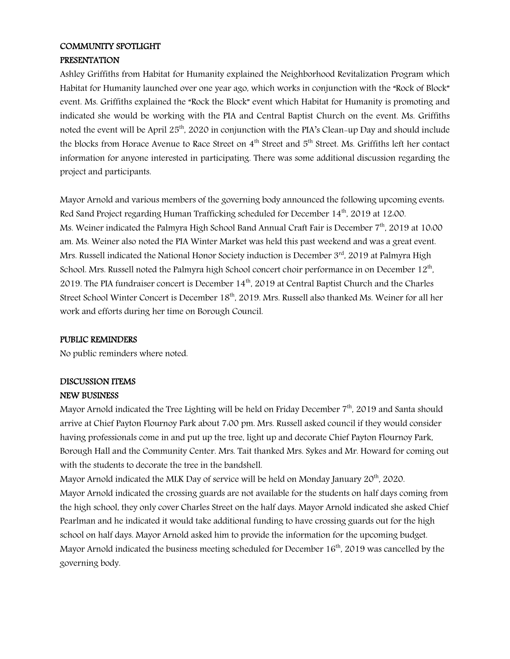# COMMUNITY SPOTLIGHT

## PRESENTATION

Ashley Griffiths from Habitat for Humanity explained the Neighborhood Revitalization Program which Habitat for Humanity launched over one year ago, which works in conjunction with the "Rock of Block" event. Ms. Griffiths explained the "Rock the Block" event which Habitat for Humanity is promoting and indicated she would be working with the PIA and Central Baptist Church on the event. Ms. Griffiths noted the event will be April 25th, 2020 in conjunction with the PIA's Clean-up Day and should include the blocks from Horace Avenue to Race Street on 4<sup>th</sup> Street and 5<sup>th</sup> Street. Ms. Griffiths left her contact information for anyone interested in participating. There was some additional discussion regarding the project and participants.

Mayor Arnold and various members of the governing body announced the following upcoming events: Red Sand Project regarding Human Trafficking scheduled for December 14<sup>th</sup>, 2019 at 12:00. Ms. Weiner indicated the Palmyra High School Band Annual Craft Fair is December 7<sup>th</sup>, 2019 at 10:00 am. Ms. Weiner also noted the PIA Winter Market was held this past weekend and was a great event. Mrs. Russell indicated the National Honor Society induction is December 3rd, 2019 at Palmyra High School. Mrs. Russell noted the Palmyra high School concert choir performance in on December 12th, 2019. The PIA fundraiser concert is December 14<sup>th</sup>, 2019 at Central Baptist Church and the Charles Street School Winter Concert is December 18<sup>th</sup>, 2019. Mrs. Russell also thanked Ms. Weiner for all her work and efforts during her time on Borough Council.

#### PUBLIC REMINDERS

No public reminders where noted.

## DISCUSSION ITEMS

## NEW BUSINESS

Mayor Arnold indicated the Tree Lighting will be held on Friday December 7<sup>th</sup>, 2019 and Santa should arrive at Chief Payton Flournoy Park about 7:00 pm. Mrs. Russell asked council if they would consider having professionals come in and put up the tree, light up and decorate Chief Payton Flournoy Park, Borough Hall and the Community Center. Mrs. Tait thanked Mrs. Sykes and Mr. Howard for coming out with the students to decorate the tree in the bandshell.

Mayor Arnold indicated the MLK Day of service will be held on Monday January 20<sup>th</sup>, 2020. Mayor Arnold indicated the crossing guards are not available for the students on half days coming from the high school, they only cover Charles Street on the half days. Mayor Arnold indicated she asked Chief Pearlman and he indicated it would take additional funding to have crossing guards out for the high school on half days. Mayor Arnold asked him to provide the information for the upcoming budget. Mayor Arnold indicated the business meeting scheduled for December  $16<sup>th</sup>$ , 2019 was cancelled by the governing body.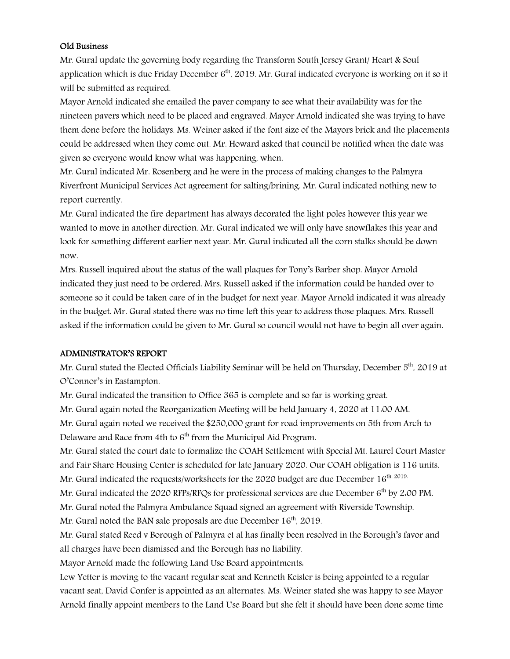#### Old Business

Mr. Gural update the governing body regarding the Transform South Jersey Grant/ Heart & Soul application which is due Friday December  $6<sup>th</sup>$ , 2019. Mr. Gural indicated everyone is working on it so it will be submitted as required.

Mayor Arnold indicated she emailed the paver company to see what their availability was for the nineteen pavers which need to be placed and engraved. Mayor Arnold indicated she was trying to have them done before the holidays. Ms. Weiner asked if the font size of the Mayors brick and the placements could be addressed when they come out. Mr. Howard asked that council be notified when the date was given so everyone would know what was happening, when.

Mr. Gural indicated Mr. Rosenberg and he were in the process of making changes to the Palmyra Riverfront Municipal Services Act agreement for salting/brining. Mr. Gural indicated nothing new to report currently.

Mr. Gural indicated the fire department has always decorated the light poles however this year we wanted to move in another direction. Mr. Gural indicated we will only have snowflakes this year and look for something different earlier next year. Mr. Gural indicated all the corn stalks should be down now.

Mrs. Russell inquired about the status of the wall plaques for Tony's Barber shop. Mayor Arnold indicated they just need to be ordered. Mrs. Russell asked if the information could be handed over to someone so it could be taken care of in the budget for next year. Mayor Arnold indicated it was already in the budget. Mr. Gural stated there was no time left this year to address those plaques. Mrs. Russell asked if the information could be given to Mr. Gural so council would not have to begin all over again.

#### ADMINISTRATOR'S REPORT

Mr. Gural stated the Elected Officials Liability Seminar will be held on Thursday, December 5th, 2019 at O'Connor's in Eastampton.

Mr. Gural indicated the transition to Office 365 is complete and so far is working great.

Mr. Gural again noted the Reorganization Meeting will be held January 4, 2020 at 11:00 AM.

Mr. Gural again noted we received the \$250,000 grant for road improvements on 5th from Arch to Delaware and Race from 4th to 6<sup>th</sup> from the Municipal Aid Program.

Mr. Gural stated the court date to formalize the COAH Settlement with Special Mt. Laurel Court Master and Fair Share Housing Center is scheduled for late January 2020. Our COAH obligation is 116 units. Mr. Gural indicated the requests/worksheets for the 2020 budget are due December  $16<sup>th, 2019</sup>$ .

Mr. Gural indicated the 2020 RFPs/RFQs for professional services are due December  $6<sup>th</sup>$  by 2.00 PM.

Mr. Gural noted the Palmyra Ambulance Squad signed an agreement with Riverside Township.

Mr. Gural noted the BAN sale proposals are due December 16<sup>th</sup>, 2019.

Mr. Gural stated Reed v Borough of Palmyra et al has finally been resolved in the Borough's favor and all charges have been dismissed and the Borough has no liability.

Mayor Arnold made the following Land Use Board appointments:

Lew Yetter is moving to the vacant regular seat and Kenneth Keisler is being appointed to a regular vacant seat, David Confer is appointed as an alternates. Ms. Weiner stated she was happy to see Mayor Arnold finally appoint members to the Land Use Board but she felt it should have been done some time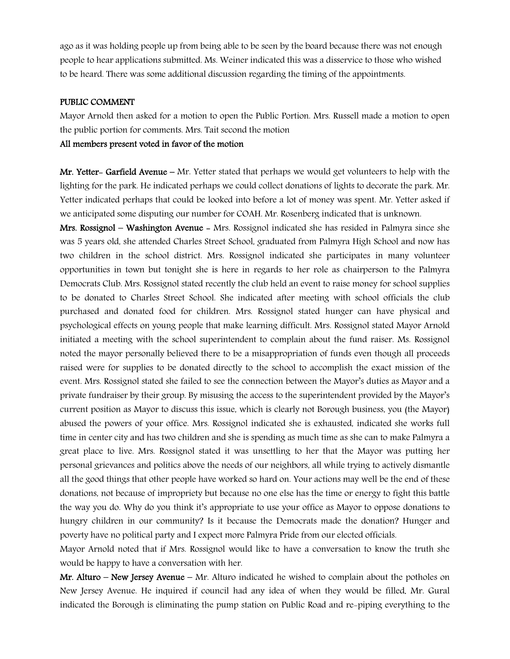ago as it was holding people up from being able to be seen by the board because there was not enough people to hear applications submitted. Ms. Weiner indicated this was a disservice to those who wished to be heard. There was some additional discussion regarding the timing of the appointments.

#### PUBLIC COMMENT

Mayor Arnold then asked for a motion to open the Public Portion. Mrs. Russell made a motion to open the public portion for comments. Mrs. Tait second the motion

## All members present voted in favor of the motion

**Mr. Yetter- Garfield Avenue** – Mr. Yetter stated that perhaps we would get volunteers to help with the lighting for the park. He indicated perhaps we could collect donations of lights to decorate the park. Mr. Yetter indicated perhaps that could be looked into before a lot of money was spent. Mr. Yetter asked if we anticipated some disputing our number for COAH. Mr. Rosenberg indicated that is unknown.

Mrs. Rossignol – Washington Avenue - Mrs. Rossignol indicated she has resided in Palmyra since she was 5 years old, she attended Charles Street School, graduated from Palmyra High School and now has two children in the school district. Mrs. Rossignol indicated she participates in many volunteer opportunities in town but tonight she is here in regards to her role as chairperson to the Palmyra Democrats Club. Mrs. Rossignol stated recently the club held an event to raise money for school supplies to be donated to Charles Street School. She indicated after meeting with school officials the club purchased and donated food for children. Mrs. Rossignol stated hunger can have physical and psychological effects on young people that make learning difficult. Mrs. Rossignol stated Mayor Arnold initiated a meeting with the school superintendent to complain about the fund raiser. Ms. Rossignol noted the mayor personally believed there to be a misappropriation of funds even though all proceeds raised were for supplies to be donated directly to the school to accomplish the exact mission of the event. Mrs. Rossignol stated she failed to see the connection between the Mayor's duties as Mayor and a private fundraiser by their group. By misusing the access to the superintendent provided by the Mayor's current position as Mayor to discuss this issue, which is clearly not Borough business, you (the Mayor) abused the powers of your office. Mrs. Rossignol indicated she is exhausted, indicated she works full time in center city and has two children and she is spending as much time as she can to make Palmyra a great place to live. Mrs. Rossignol stated it was unsettling to her that the Mayor was putting her personal grievances and politics above the needs of our neighbors, all while trying to actively dismantle all the good things that other people have worked so hard on. Your actions may well be the end of these donations, not because of impropriety but because no one else has the time or energy to fight this battle the way you do. Why do you think it's appropriate to use your office as Mayor to oppose donations to hungry children in our community? Is it because the Democrats made the donation? Hunger and poverty have no political party and I expect more Palmyra Pride from our elected officials.

Mayor Arnold noted that if Mrs. Rossignol would like to have a conversation to know the truth she would be happy to have a conversation with her.

**Mr. Alturo – New Jersey Avenue –** Mr. Alturo indicated he wished to complain about the potholes on New Jersey Avenue. He inquired if council had any idea of when they would be filled. Mr. Gural indicated the Borough is eliminating the pump station on Public Road and re-piping everything to the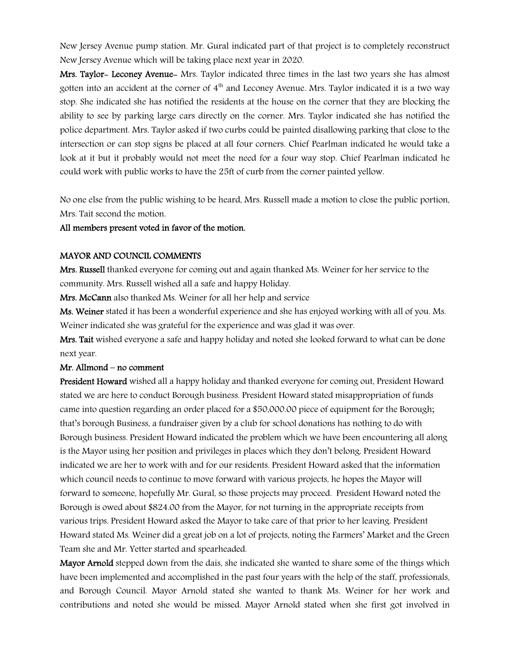New Jersey Avenue pump station. Mr. Gural indicated part of that project is to completely reconstruct New Jersey Avenue which will be taking place next year in 2020.

Mrs. Taylor- Leconey Avenue- Mrs. Taylor indicated three times in the last two years she has almost gotten into an accident at the corner of  $4<sup>th</sup>$  and Leconey Avenue. Mrs. Taylor indicated it is a two way stop. She indicated she has notified the residents at the house on the corner that they are blocking the ability to see by parking large cars directly on the corner. Mrs. Taylor indicated she has notified the police department. Mrs. Taylor asked if two curbs could be painted disallowing parking that close to the intersection or can stop signs be placed at all four corners. Chief Pearlman indicated he would take a look at it but it probably would not meet the need for a four way stop. Chief Pearlman indicated he could work with public works to have the 25ft of curb from the corner painted yellow.

No one else from the public wishing to be heard, Mrs. Russell made a motion to close the public portion, Mrs. Tait second the motion.

#### All members present voted in favor of the motion.

#### MAYOR AND COUNCIL COMMENTS

Mrs. Russell thanked everyone for coming out and again thanked Ms. Weiner for her service to the community. Mrs. Russell wished all a safe and happy Holiday.

Mrs. McCann also thanked Ms. Weiner for all her help and service

Ms. Weiner stated it has been a wonderful experience and she has enjoyed working with all of you. Ms. Weiner indicated she was grateful for the experience and was glad it was over.

Mrs. Tait wished everyone a safe and happy holiday and noted she looked forward to what can be done next year.

#### Mr. Allmond – no comment

**President Howard** wished all a happy holiday and thanked everyone for coming out. President Howard stated we are here to conduct Borough business. President Howard stated misappropriation of funds came into question regarding an order placed for a \$50,000.00 piece of equipment for the Borough; that's borough Business, a fundraiser given by a club for school donations has nothing to do with Borough business. President Howard indicated the problem which we have been encountering all along is the Mayor using her position and privileges in places which they don't belong. President Howard indicated we are her to work with and for our residents. President Howard asked that the information which council needs to continue to move forward with various projects, he hopes the Mayor will forward to someone, hopefully Mr. Gural, so those projects may proceed. President Howard noted the Borough is owed about \$824.00 from the Mayor, for not turning in the appropriate receipts from various trips. President Howard asked the Mayor to take care of that prior to her leaving. President Howard stated Ms. Weiner did a great job on a lot of projects, noting the Farmers' Market and the Green Team she and Mr. Yetter started and spearheaded.

Mayor Arnold stepped down from the dais, she indicated she wanted to share some of the things which have been implemented and accomplished in the past four years with the help of the staff, professionals, and Borough Council. Mayor Arnold stated she wanted to thank Ms. Weiner for her work and contributions and noted she would be missed. Mayor Arnold stated when she first got involved in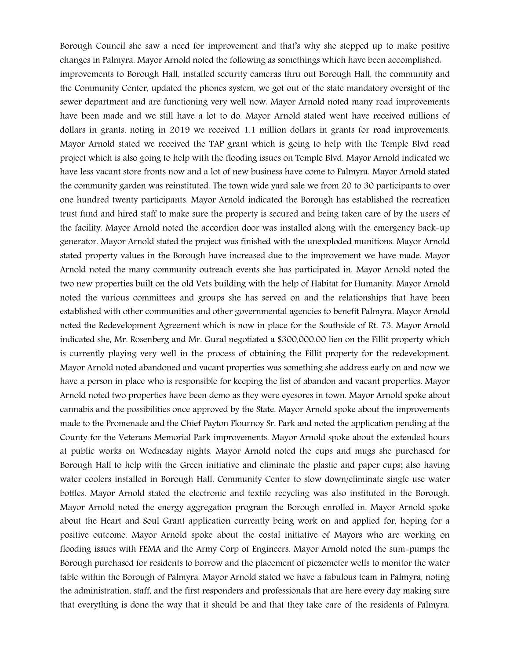Borough Council she saw a need for improvement and that's why she stepped up to make positive changes in Palmyra. Mayor Arnold noted the following as somethings which have been accomplished: improvements to Borough Hall, installed security cameras thru out Borough Hall, the community and the Community Center, updated the phones system, we got out of the state mandatory oversight of the sewer department and are functioning very well now. Mayor Arnold noted many road improvements have been made and we still have a lot to do. Mayor Arnold stated went have received millions of dollars in grants, noting in 2019 we received 1.1 million dollars in grants for road improvements. Mayor Arnold stated we received the TAP grant which is going to help with the Temple Blvd road project which is also going to help with the flooding issues on Temple Blvd. Mayor Arnold indicated we have less vacant store fronts now and a lot of new business have come to Palmyra. Mayor Arnold stated the community garden was reinstituted. The town wide yard sale we from 20 to 30 participants to over one hundred twenty participants. Mayor Arnold indicated the Borough has established the recreation trust fund and hired staff to make sure the property is secured and being taken care of by the users of the facility. Mayor Arnold noted the accordion door was installed along with the emergency back-up generator. Mayor Arnold stated the project was finished with the unexploded munitions. Mayor Arnold stated property values in the Borough have increased due to the improvement we have made. Mayor Arnold noted the many community outreach events she has participated in. Mayor Arnold noted the two new properties built on the old Vets building with the help of Habitat for Humanity. Mayor Arnold noted the various committees and groups she has served on and the relationships that have been established with other communities and other governmental agencies to benefit Palmyra. Mayor Arnold noted the Redevelopment Agreement which is now in place for the Southside of Rt. 73. Mayor Arnold indicated she, Mr. Rosenberg and Mr. Gural negotiated a \$300,000.00 lien on the Fillit property which is currently playing very well in the process of obtaining the Fillit property for the redevelopment. Mayor Arnold noted abandoned and vacant properties was something she address early on and now we have a person in place who is responsible for keeping the list of abandon and vacant properties. Mayor Arnold noted two properties have been demo as they were eyesores in town. Mayor Arnold spoke about cannabis and the possibilities once approved by the State. Mayor Arnold spoke about the improvements made to the Promenade and the Chief Payton Flournoy Sr. Park and noted the application pending at the County for the Veterans Memorial Park improvements. Mayor Arnold spoke about the extended hours at public works on Wednesday nights. Mayor Arnold noted the cups and mugs she purchased for Borough Hall to help with the Green initiative and eliminate the plastic and paper cups; also having water coolers installed in Borough Hall, Community Center to slow down/eliminate single use water bottles. Mayor Arnold stated the electronic and textile recycling was also instituted in the Borough. Mayor Arnold noted the energy aggregation program the Borough enrolled in. Mayor Arnold spoke about the Heart and Soul Grant application currently being work on and applied for, hoping for a positive outcome. Mayor Arnold spoke about the costal initiative of Mayors who are working on flooding issues with FEMA and the Army Corp of Engineers. Mayor Arnold noted the sum-pumps the Borough purchased for residents to borrow and the placement of piezometer wells to monitor the water table within the Borough of Palmyra. Mayor Arnold stated we have a fabulous team in Palmyra, noting the administration, staff, and the first responders and professionals that are here every day making sure that everything is done the way that it should be and that they take care of the residents of Palmyra.